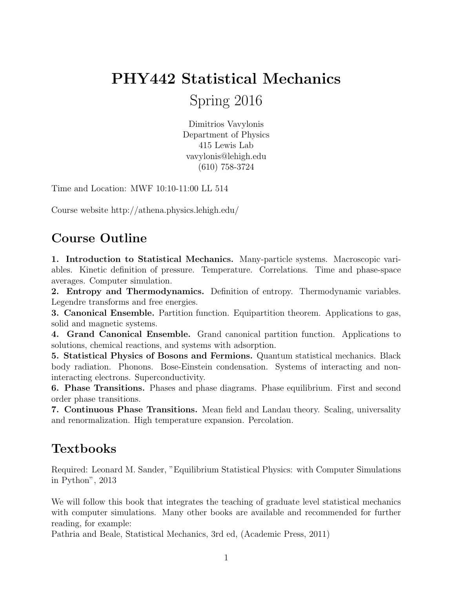# PHY442 Statistical Mechanics

Spring 2016

Dimitrios Vavylonis Department of Physics 415 Lewis Lab vavylonis@lehigh.edu (610) 758-3724

Time and Location: MWF 10:10-11:00 LL 514

Course website http://athena.physics.lehigh.edu/

#### Course Outline

1. Introduction to Statistical Mechanics. Many-particle systems. Macroscopic variables. Kinetic definition of pressure. Temperature. Correlations. Time and phase-space averages. Computer simulation.

2. Entropy and Thermodynamics. Definition of entropy. Thermodynamic variables. Legendre transforms and free energies.

3. Canonical Ensemble. Partition function. Equipartition theorem. Applications to gas, solid and magnetic systems.

4. Grand Canonical Ensemble. Grand canonical partition function. Applications to solutions, chemical reactions, and systems with adsorption.

5. Statistical Physics of Bosons and Fermions. Quantum statistical mechanics. Black body radiation. Phonons. Bose-Einstein condensation. Systems of interacting and noninteracting electrons. Superconductivity.

**6. Phase Transitions.** Phases and phase diagrams. Phase equilibrium. First and second order phase transitions.

7. Continuous Phase Transitions. Mean field and Landau theory. Scaling, universality and renormalization. High temperature expansion. Percolation.

#### Textbooks

Required: Leonard M. Sander, "Equilibrium Statistical Physics: with Computer Simulations in Python", 2013

We will follow this book that integrates the teaching of graduate level statistical mechanics with computer simulations. Many other books are available and recommended for further reading, for example:

Pathria and Beale, Statistical Mechanics, 3rd ed, (Academic Press, 2011)